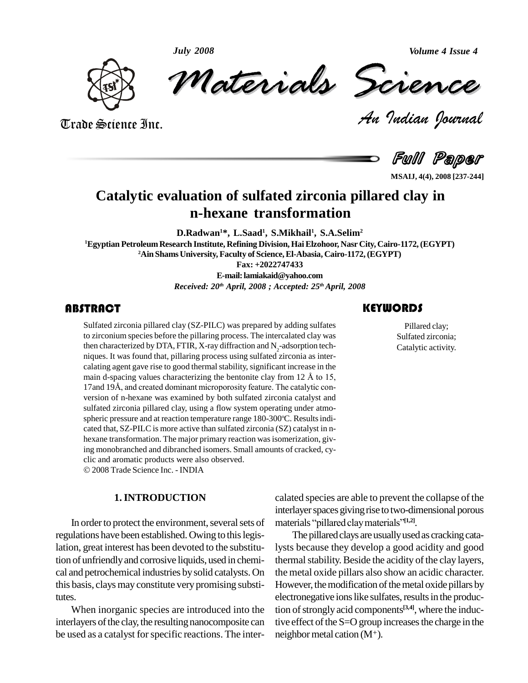*July 2008*

*Volume 4 Issue 4*



July 2008<br>Materials Science

*Volume 4 Issue 4*<br> *Indian Pournal* 

Trade Science Inc. Trade Science Inc.

Full Paper

**MSAIJ, 4(4), 2008 [237-244]**

# **Catalytic evaluation of sulfated zirconia pillared clay in n-hexane transformation**

**D.Radwan <sup>1</sup>\*, L.Saad 1 , S.Mikhail<sup>1</sup> , S.A.Selim<sup>2</sup> <sup>1</sup>Egyptian PetroleumResearch Institute, Refining Division, HaiElzohoor, Nasr City, Cairo-1172,(EGYPT) <sup>2</sup>Ain ShamsUniversity, Faculty of Science,El-Abasia, Cairo-1172,(EGYPT) Fax: +2022747433 E-mail:[lamiakaid@yahoo.com](mailto:lamiakaid@yahoo.com)**

*Received: 20 th April, 2008 ; Accepted: 25 thApril, 2008*

**ABSTRACT**<br>
Sulfated zirconia pillared clay (SZ-PILC) was prepared by adding sulfates<br>
to zirconium species before the pillaring process. The intercalated clay was<br>
then characterized by DTA, FTIR, X-ray diffraction and N<sub></sub> Sulfated zirconia pillared clay (SZ-PILC) was prepared by adding sulfates to zirconium species before the pillaring process. The intercalated clay was then characterized by DTA, FTIR, X-ray diffraction and  $N_2$ -adsorption tech-<br>niques. It was found that, pillaring process using sulfated zirconia as intercalating agent gave rise to good thermal stability, significant increase in the miques. It was found that, pillaring process using sulfated zirconia as inter-<br>calating agent gave rise to good thermal stability, significant increase in the<br>main d-spacing values characterizing the bentonite clay from 12 main d-spacing values characterizing the bentonite clay from 12 Å to 15, 17and 19Å, and created dominant microporosity feature. The catalytic conversion of n-hexane was examined by both sulfated zirconia catalyst and sulfated zirconia pillared clay, using a flow system operating under atmo spheric pressure and at reaction temperature range 180-300°C. Results indicated that, SZ-PILC is more active than sulfated zirconia (SZ) catalyst in n hexane transformation. The major primary reaction was isomerization, giving monobranched and dibranched isomers. Small amounts of cracked, cy- clic and aromatic products were also observed.

2008 Trade Science Inc. - INDIA

# **1.INTRODUCTION**

In order to protect the environment, several sets of regulations have been established.Owing to thislegislation, great interest has been devoted to the substitution of unfriendlyand corrosive liquids, used in chemi cal and petrochemical industries bysolid catalysts. On this basis, clays may constitute very promising substitutes.<br>When inorganic species are introduced into the

interlayers of the clay, the resulting nanocomposite can be used as a catalyst for specific reactions. The inter-

Pillared clay; Sulfated zirconia; Catalytic activity.

calated species are able to prevent the collapse of the interlayer spaces giving rise to two-dimensional porous calated species are able to prevent the col<br>interlayer spaces giving rise to two-dimensi<br>materials "pillared clay materials"<sup>[1,2]</sup>. materials "pillared clay materials"<sup>[1,2]</sup>.

The pillared clays are usually used as cracking catalysts because they develop a good acidity and good thermal stability. Beside the acidity of the clay layers, the metal oxide pillars also show an acidic character. However, the modification of the metal oxide pillars by electronegative ions like sulfates, results in the production of strongly acid components<sup>[3,4]</sup>, where the inductive effect of the  $S=O$  group increases the charge in the neighbor metal cation  $(M^+)$ .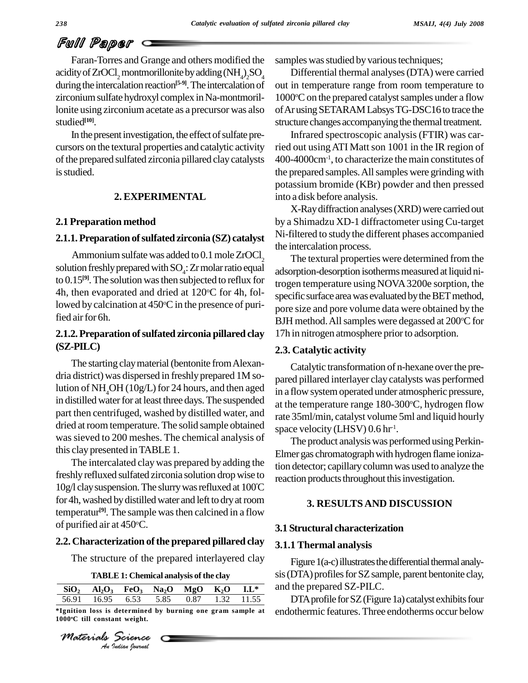# Full Paper

Faran-Torres and Grange and others modified the acidity of ZrOCl<sub>2</sub> montmorillonite by adding  $\rm (NH_4)_2SO_4$ during the intercalation reaction<sup>[5-9]</sup>. The intercalation of out i zirconium sulfate hydroxyl complex in Na-montmorillonite using zirconium acetate as a precursor was also studied **[10]**.

In the present investigation, the effect of sulfate precursors on the textural properties and catalytic activity of the prepared sulfated zirconia pillared clay catalysts is studied.

### **2. EXPERIMENTAL**

# **2.1 Preparation method**

#### **2.1.1.Preparation ofsulfated zirconia (SZ) catalyst**

Ammonium sulfate was added to  $0.1$  mole  $ZrOCl<sub>2</sub>$ solution freshly prepared with  $SO_4$ : Zr molar ratio equal  $_{\text{add}}$ to  $0.15^{[9]}$ . The solution was then subjected to reflux for  $\epsilon_{\text{trop}}$ 4h, then evaporated and dried at 120°C for 4h, followed by calcination at 450°C in the presence of purified air for 6h.

# **2.1.2.Preparation ofsulfated zirconia pillared clay (SZ-PILC)**

The starting clay material (bentonite from Alexandria district) was dispersed in freshly prepared 1M solution of NH<sub>4</sub>OH (10g/L) for 24 hours, and then aged in distilled water for at least three days. The suspended part then centrifuged, washed by distilled water, and dried at room temperature. The solid sample obtained wassieved to 200 meshes. The chemical analysis of this clay presented inTABLE 1.

The intercalated claywas prepared by adding the freshly refluxed sulfated zirconia solution drop wise to reaction 10g/l clay suspension. The slurry was refluxed at 100°C for 4h, washed by distilled water and left to dry at room temperatur **[9]**. The sample wasthen calcined in a flow of purified air at 450 $^{\circ}$ C.

# **2.2. Characterization ofthe prepared pillared clay**

The structure of the prepared interlayered clay

| SiO <sub>2</sub> | AI <sub>2</sub> O <sub>3</sub>                             | FeO <sub>3</sub> | Na <sub>2</sub> O | MgO  | K,O  | $L^*$ |
|------------------|------------------------------------------------------------|------------------|-------------------|------|------|-------|
| 56.91            | 16.95                                                      | 6.53             | 5.85              | 0.87 | 1.32 | 11.55 |
|                  | *Ignition loss is determined by burning one gram sample at |                  |                   |      |      |       |

*Materials Science*

samples was studied by various techniques;

Differential thermal analyses(DTA) were carried out in temperature range from room temperature to 1000°C on the prepared catalyst samples under a flow ofAr usingSETARAMLabsysTG-DSC16to trace the structure changes accompanying the thermal treatment.

Infrared spectroscopic analysis (FTIR) was carried out using ATI Matt son 1001 in the IR region of 400-4000cm-1 , to characterize the main constitutes of the prepared samples. All samples were grinding with potassium bromide (KBr) powder and then pressed into a disk before analysis.

X-Raydiffraction analyses(XRD)were carried out by a Shimadzu XD-1 diffractometer using Cu-target Ni-filtered to study the different phases accompanied the intercalation process.

The textural properties were determined from the adsorption-desorption isotherms measured at liquid nitrogen temperature using NOVA3200e sorption, the specific surface area was evaluated by the BET method, pore size and pore volume data were obtained by the BJH method. All samples were degassed at 200°C for 17h in nitrogen atmosphere prior to adsorption.

# **2.3. Catalytic activity**

Catalytic transformation of n-hexane over the prepared pillared interlayer clay catalysts was performed in a flow system operated under atmospheric pressure, at the temperature range 180-300°C, hydrogen flow rate 35ml/min, catalyst volume 5ml and liquid hourly space velocity (LHSV) 0.6 hr<sup>-1</sup>.

The product analysis was performed using Perkin-Elmer gas chromatograph with hydrogen flame ionization detector; capillarycolumn was used to analyze the reaction products throughout this investigation.

### **3. RESULTS AND DISCUSSION**

#### **3.1 Structural characterization**

# **3.1.1 Thermal analysis**

Figure  $1(a-c)$  illustrates the differential thermal analysis (DTA) profiles for SZ sample, parent bentonite clay, and the prepared SZ-PILC.

DTA profile for SZ (Figure 1a) catalyst exhibits four endothermic features.Three endotherms occur below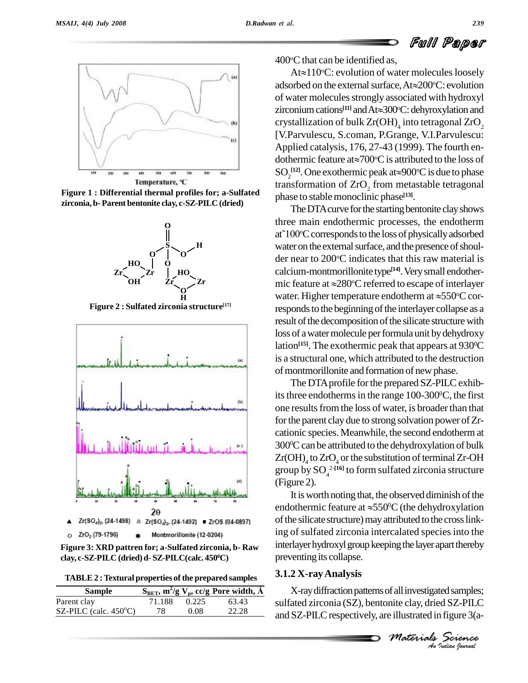



**Figure 1 : Differential thermal profiles for; a-Sulfated zirconia, b- Parent bentonite clay, c-SZ-PILC (dried)**



**Figure 2 : Sulfated zirconia structure [17]**



**Figure 3: XRD pattren for; a-Sulfated zirconia, b- Raw clay, c-SZ-PILC (dried) d- SZ-PILC(calc. 450 <sup>0</sup>C)**

**TABLE2 :Textural properties ofthe prepared samples**

| TABLE 2: Textural properties of the prepared samples | $3.1.2 X -$                                                           |       |       |          |  |
|------------------------------------------------------|-----------------------------------------------------------------------|-------|-------|----------|--|
| <b>Sample</b>                                        | $S_{BET}$ , m <sup>2</sup> /g V <sub>p</sub> , cc/g Pore width, $\AA$ |       |       |          |  |
| Parent clay                                          | 71.188                                                                | 0.225 | 63.43 | sulfated |  |
| SZ-PILC (calc. $450^{\circ}$ C)                      | 78                                                                    | 0.08  | 22.28 | and $ZI$ |  |

 $400^{\circ}$ C that can be identified as,

C that can be identified as,<br>At $\approx$ 110°C: evolution of water molecules loosely 400°C that can be identified as,<br>At $\approx$ 110°C: evolution of water molecules loosely<br>adsorbed on the external surface, At $\approx$ 200°C: evolution of water molecules strongly associated with hydroxyl adsorbed on the external surface, At≈200°C: evolution<br>of water molecules strongly associated with hydroxyl<br>zirconium cations<sup>[11]</sup> and At≈300°C: dehyroxylation and crystallization of bulk Zr(OH) $_{\rm 4}$  into tetragonal ZrO $_{\rm 2}$ [V.Parvulescu, S.coman, P.Grange, V.I.Parvulescu:<br>Applied catalysis, 176, 27-43 (1999). The fourth en-<br>dothermic feature at $\approx 700^{\circ}$ C is attributed to the loss of Applied catalysis, 176, 27-43 (1999). The fourth en dothermic feature at $\approx 700^{\circ}$ C is attributed to the loss of Applied catalysis, 176, 27-43 (1999). The fourth en-<br>dothermic feature at $\approx 700^{\circ}$ C is attributed to the loss of SO<sub>2</sub><sup>[12]</sup>. One exothermic peak at $\approx 900^{\circ}$ C is due to phase transformation of  $ZrO<sub>2</sub>$  from metastable tetragonal phase to stable monoclinic phase<sup>[13]</sup>.

The DTA curve for the starting bentonite clay shows three main endothermic processes, the endotherm The DTA curve for the starting bentonite clay shows<br>three main endothermic processes, the endotherm<br>at~100°C corresponds to the loss of physically adsorbed water on the external surface, and the presence of shoulder near to 200°C indicates that this raw material is calcium-montmorillonite type **[14]**.Verysmall endother der near to 200°C indicates t<br>calcium-montmorillonite type<br>mic feature at  $\approx$ 280°C referre mic feature at  $\approx$ 280°C referred to escape of interlayer calcium-montmorillonite type<sup>[14]</sup>. Very small endothermic feature at  $\approx$ 280°C referred to escape of interlayer water. Higher temperature endotherm at  $\approx$ 550°C corwater. Higher temperature endotherm at  $\approx$ 550 $\degree$ C corresponds to the beginning of the interlayer collapse as a result of the decomposition of the silicate structure with loss of a water molecule per formula unit by dehydroxy lation<sup>[15]</sup>. The exothermic peak that appears at 930<sup>o</sup>C is a structural one, which attributed to the destruction of montmorillonite and formation of new phase.

The DTA profile for the prepared SZ-PILC exhibits three endotherms in the range  $100-300^{\circ}\text{C}$ , the first one results from the loss of water, is broader than that for the parent clay due to strong solvation power of  $Zr$ cationic species. Meanwhile, the second endothermat 300 <sup>0</sup>Ccan be attributed to the dehydroxylation of bulk  $\rm{Zr}(\rm{OH})_{\rm{4}}$  to  $\rm{ZrO}_{\rm{4}}$  or the substitution of terminal Zr-OH group by SO<sup>4</sup> 2-**[16]** to form sulfated zirconia structure (Figure 2).

It is worth noting that, the observed diminish of the (Figure 2).<br>It is worth noting that, the observed diminish of the<br>endothermic feature at  $\approx$ 550<sup>0</sup>C (the dehydroxylation of the silicate structure) may attributed to the cross linking of sulfated zirconia intercalated species into the interlayer hydroxyl group keeping the layer apart thereby preventing its collapse.

#### **3.1.2 X-rayAnalysis**

*M M M Indian Medicines*<br> *Materials Science*<br> *Materials Science*<br> *An Indian bouval* X-ray diffraction patterns of all investigated samples; sulfated zirconia (SZ), bentonite clay, dried SZ-PILC and SZ-PILC respectively, are illustrated in figure 3(a-

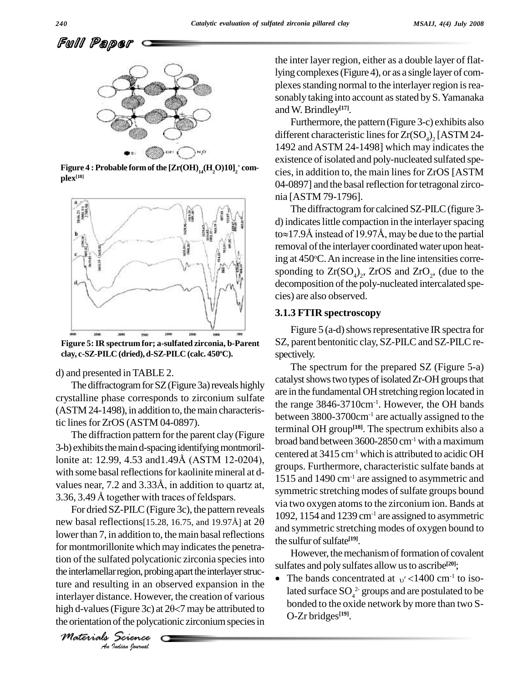

**Figure 4 :** Probable form of the  $\left[\text{Zr(OH)}_{14}(\text{H}_2\text{O})10\right]_2^{\text{+}}$  complex<sup>[18]</sup>  $plex^{[18]}$ 



**Figure 5:IR spectrum for; a-sulfated zirconia, b-Parent clay, c-SZ-PILC (dried),d-SZ-PILC (calc. 450 oC).**

d) and presented inTABLE 2.

The diffractogram for SZ (Figure 3a) reveals highly crystalline phase corresponds to zirconium sulfate  $(ASTM 24-1498)$ , in addition to, the main characteristic lines for ZrOS (ASTM 04-0897).

The diffraction pattern for the parent clay (Figure 3-b) exhibits the main d-spacing identifying montmoril-The diffraction pattern for the parent clay (Figure<br>3-b) exhibits the main d-spacing identifying montmoril-<br>lonite at: 12.99, 4.53 and1.49Å (ASTM 12-0204), with some basal reflections for kaolinite mineral at dlonite at: 12.99, 4.53 and 1.49Å (ASTM 12-0204),<br>with some basal reflections for kaolinite mineral at d-<br>values near, 7.2 and 3.33Å, in addition to quartz at, with some basal reflections for kaolinite mineral at<br>values near, 7.2 and 3.33Å, in addition to quartz<br>3.36, 3.49 Å together with traces of feldspars.

the interlamellar region, probing apart the interlayer struc-*Indian Indian*<br>*Indian Indian*<br>*Indian*<br>*Indian bouvad* For dried SZ-PILC(Figure 3c), the pattern reveals 3.36, 3.49 Å together with traces of feldspars.<br>For dried SZ-PILC (Figure 3c), the pattern reveals<br>new basal reflections[15.28, 16.75, and 19.97Å] at 20 lower than 7, in addition to, the main basal reflections for montmorillonite which may indicates the penetration of the sulfated polycationic zirconia species into ture and resulting in an observed expansion in the interlayer distance. However, the creation of various high d-values (Figure 3c) at  $2\theta < 7$  may be attributed to the orientation of the polycationic zirconium species in

*Materials Science*

the inter layer region, either as a double layer of flatlying complexes(Figure 4), or as a single layer of com plexes standing normal to the interlayer region is reasonably taking into account as stated by S. Yamanaka andW. Brindley **[17]**.

Furthermore, the pattern (Figure 3-c) exhibits also different characteristic lines for  $Zr(SO<sub>4</sub>)$ , [ASTM 24-1492 and ASTM 24-1498] which may indicates the existence of isolated and poly-nucleated sulfated species, in addition to, the main linesfor ZrOS [ASTM 04-0897] and the basal reflection for tetragonal zirconia [ASTM 79-1796].

The diffractogram for calcined SZ-PILC (figure 3d) indicates little compaction in the interlayer spacing The diffractogram for calcined SZ-PILC (figure 3-<br>d) indicates little compaction in the interlayer spacing<br>to $\approx$ 17.9Å instead of 19.97Å, may be due to the partial removal of the interlayer coordinated water upon heating at 450°C. An increase in the line intensities corresponding to  $\text{Zr}(\text{SO}_4)_2$ ,  $\text{ZrOS}$  and  $\text{ZrO}_2$ , (due to the decomposition of the poly-nucleated intercalated species) are also observed.

### **3.1.3 FTIR spectroscopy**

Figure 5 (a-d) shows representative IR spectra for SZ, parent bentonitic clay, SZ-PILC and SZ-PILC respectively.

The spectrum for the prepared SZ (Figure 5-a) catalyst shows two types of isolated  $Zr$ -OH groups that are in the fundamental OH stretching region located in the range 3846-3710cm-1 . However, the OH bands between 3800-3700cm-1 are actually assigned to the terminal OH group **[18]**. The spectrum exhibits also a broad band between 3600-2850 cm-1 with amaximum centered at  $3415 \text{ cm}^{-1}$  which is attributed to acidic OH groups. Furthermore, characteristic sulfate bands at 1515 and 1490 cm-1 are assigned to asymmetric and symmetric stretching modes of sulfate groups bound via two oxygen atoms to the zirconium ion. Bands at 1092, 1154 and 1239 cm-1 are assigned to asymmetric and symmetric stretching modes of oxygen bound to the sulfur of sulfate<sup>[19]</sup>.

However, the mechanism of formation of covalent However, the mechanism of formation of covalen<br>sulfates and poly sulfates allow us to ascribe<sup>[20]</sup>; However, the mechanism of formation of covalent<br>fates and poly sulfates allow us to ascribe<sup>[20]</sup>;<br>The bands concentrated at  $v' < 1400$  cm<sup>-1</sup> to iso-

lated surface  $\mathrm{SO}_4^{\ 2}$  groups and are postulated to be bonded to the oxide network by more than two S-O-Zr bridges **[19]**.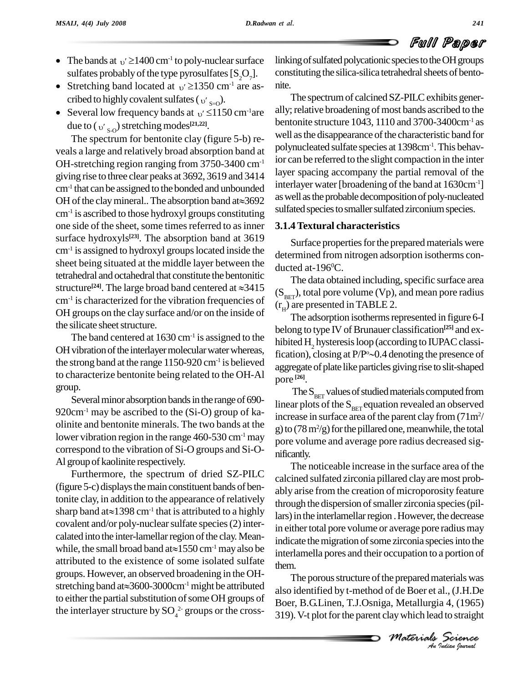- The bands at  $v' \ge 1400 \text{ cm}^{-1}$  to poly-nuclear surface linkin sulfates probably of the type pyrosulfates  $[S_2O_7]$ . constitu sulfates probably of the type pyrosulfates  $[S_2O_7]$ . cons<br>Stretching band located at  $\frac{1}{2}$  1350 cm<sup>-1</sup> are as-
- Stretching band located at  $v' \ge 1350$  cm<sup>-1</sup> are ascribed to highly covalent sulfates ( $v'_{s=0}$ ).
- Several low frequency bands at  $v' \le 1150 \text{ cm}^{-1}$  are Several low frequency bands at  $v' \le 1150$ <br>due to ( $v'_{s,o}$ ) stretching modes<sup>[21,22]</sup>.

The spectrum for bentonite clay (figure 5-b) re veals a large and relatively broad absorption band at OH-stretching region ranging from 3750-3400 cm-1 giving rise to three clear peaks at 3692, 3619 and 3414 layer s<br>cm<sup>-1</sup> that can be assigned to the bonded and unbounded interlay<br>OH of the clay mineral.. The absorption band at  $\approx$  3692 as well  $cm<sup>-1</sup>$  that can be assigned to the bonded and unbounded  $\frac{m_{\text{t}}}{m_{\text{t}}}$ cm<sup>-1</sup> is ascribed to those hydroxyl groups constituting sunated one side of the sheet, some times referred to as inner surface hydroxyls<sup>[23]</sup>. The absorption band at  $3619$  s<sub>ou</sub>  $cm^{-1}$  is assigned to hydroxyl groups located inside the  $\frac{1}{\sqrt{1-\frac{1}{c^2}}}$ sheet being situated at the middle layer between the tetrahedral and octahedral that constitute the bentonitic sheet being situated at the middle layer between the<br>tetrahedral and octahedral that constitute the bentonitic<br>structure<sup>[24]</sup>. The large broad band centered at  $\approx 3415$ cm<sup>-1</sup> is characterized for the vibration frequencies of  $\epsilon$ OH groups on the clay surface and/or on the inside of the silicate sheet structure.

The band centered at  $1630 \text{ cm}^{-1}$  is assigned to the biblic OH vibration of the interlayer molecular water whereas, the strong band at the range  $1150-920$  cm<sup>-1</sup> is believed to characterize bentonite being related to the OH-Al group.

Several minor absorption bands in the range of 690- $920 \text{cm}^{-1}$  may be ascribed to the (Si-O) group of kaolinite and bentonite minerals. The two bands at the lower vibration region in the range  $460-530$  cm<sup>-1</sup> may correspond to the vibration of Si-O groups and Si-O- Al group of kaolinite respectively.

Furthermore, the spectrum of dried SZ-PILC (figure 5-c) displaysthemain constituent bands of bentonite clay, in addition to the appearance of relatively  $\frac{m}{2}$ (figure 5-c) displays the main co<br>tonite clay, in addition to the ap<br>sharp band at $\approx$ 1398 cm<sup>-1</sup> that i sharp band at  $\approx$  1398 cm<sup>-1</sup> that is attributed to a highly covalent and/or poly-nuclear sulfate species (2) inter-<br>calated into the inter-lamellar region of the clay. Mean-<br>while, the small broad band at $\approx$ 1550 cm<sup>-1</sup> may also be calated into the inter-lamellar region of the clay. Meanattributed to the existence of some isolated sulfate them. groups. However, an observed broadening in the OH attributed to the existence of some isolated sulfate<br>groups. However, an observed broadening in the OH-<br>stretching band at  $\approx 3600-3000$ cm<sup>-1</sup> might be attributed to either the partial substitution of some OH groups of the interlayer structure by  $\text{SO}_4^2$  groups or the cross-

linking of sulfated polycationic species to the OH groups constituting the silica-silica tetrahedral sheets of bento-

The spectrum of calcined SZ-PILC exhibits generally; relative broadening of most bands ascribed to the bentonite structure 1043, 1110 and 3700-3400cm-1 as well as the disappearance of the characteristic band for polynucleated sulfate species at 1398cm-1 .This behavior can be referred to the slight compaction in the inter layer spacing accompany the partial removal of the interlayer water [broadening of the band at 1630cm<sup>-1</sup>] as well as the probable decomposition of poly-nucleated sulfated species to smaller sulfated zirconium species.

# **3.1.4Textural characteristics**

Surface properties for the prepared materials were determined from nitrogen adsorption isotherms con ducted at- $196^{\circ}$ C.

The data obtained including, specific surface area  $(S_{\text{BET}})$ , total pore volume (Vp), and mean pore radius  $(r<sub>H</sub>)$  are presented in TABLE 2.

The adsorption isotherms represented in figure 6-I belong to type IV of Brunauer classification<sup>[25]</sup> and ex-<br>hibited H<sub>2</sub> hysteresis loop (according to IUPAC classi-<br>fication), closing at P/P°~0.4 denoting the presence of hibited H<sub>2</sub> hysteresis loop (according to IUPAC classification), closing at  $P/P^{\circ}\sim 0.4$  denoting the presence of aggregate of plate like particles giving rise to slit-shaped pore **[26]**.

The  $S_{\text{BET}}$  values of studied materials computed from linear plots of the  $S_{\text{BET}}$  equation revealed an observed increase in surface area of the parent clay from  $(71m^2/$ g) to  $(78 \text{ m}^2/\text{g})$  for the pillared one, meanwhile, the total pore volume and average pore radius decreased sig nificantly.

The noticeable increase in the surface area of the calcined sulfated zirconia pillared clay aremost prob ably arise from the creation of microporosity feature through the dispersion of smaller zirconia species (pillars) in the interlamellar region. However, the decrease in either total pore volume or average pore radius may indicate the migration of some zirconia species into the interlamella pores and their occupation to a portion of

*M Indian Metallurgia* 4, (1965)<br> *Metallurgia* 4, (1965)<br> *Indian Materials*<br> *Materials*<br> *An Judian Spormal* them.<br>The porous structure of the prepared materials was also identified by t-method of de Boer et al., (J.H.De Boer, B.G.Linen, T.J.Osniga, Metallurgia 4, (1965) 319).V-t plotforthe parent claywhich lead to straight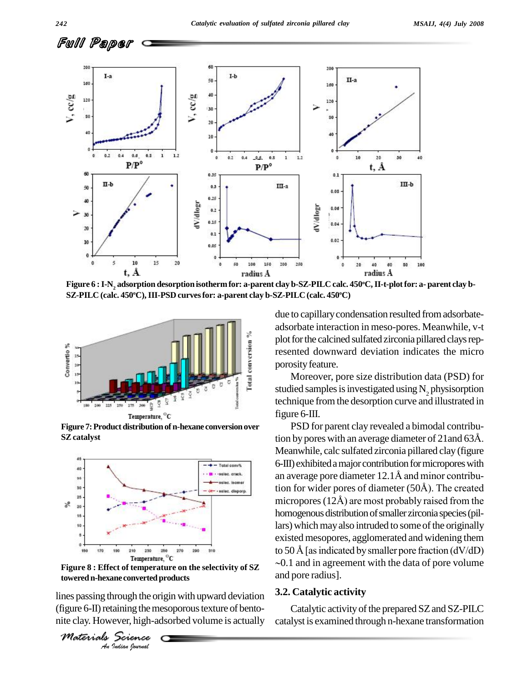

Figure 6 : I-N<sub>2</sub> adsorption desorption isotherm for: a-parent clay b-SZ-PILC calc. 450°C, II-t-plot for: a- parent clay b-**SZ-PILC (calc. 450 <sup>o</sup>C),III-PSD curvesfor: a-parent clay b-SZ-PILC (calc. 450 <sup>o</sup>C)**



Figure 7: Product distribution of n-hexane conversion over **SZcatalyst**



*An***toweredn-hexane convertedproductsFigure 8 : Effect of temperature on the selectivity of SZ**

**Indian**<br>**Indian Converted p**<br>**Indian boundal**<br>*Indian boundal* lines passing through the origin with upward deviation  $\frac{3.2}{1}$ (figure 6-II) retaining the mesoporous texture of bentonite clay. However, high-adsorbed volume is actually

*Materials Science*

due to capillarycondensation resulted fromadsorbate adsorbate interaction in meso-pores. Meanwhile, v-t plot for the calcined sulfated zirconia pillared clays represented downward deviation indicates the micro porosity feature.

Moreover, pore size distribution data (PSD) for studied samples is investigated using  $N_2$  physisorption technique fromthe desorption curve and illustrated in figure 6-III.

PSD for parent clay revealed a bimodal contribution by pores with an average diameter of 21and <sup>63</sup>Å. Meanwhile, calc sulfated zirconia pillared clay (figure<br>6-III) exhibited a major contribution for micropores with<br>an average pore diameter 12.1Å and minor contribu-6-III) exhibited a major contribution for micropores with<br>an average pore diameter 12.1Å and minor contribu-<br>tion for wider pores of diameter (50Å). The created an average pore diameter 12.1Å and minor contribu-<br>tion for wider pores of diameter (50Å). The created<br>micropores (12Å) are most probably raised from the homogenous distribution of smaller zirconia species (pillars) which may also intruded to some of the originally existed mesopores, agglomerated and widening them to 50 Å [as indicated by smaller pore fraction (dV/dD)  $\sim$ 0.1 and in agreement with the data of pore volume and pore radius].

#### **3.2. Catalytic activity**

Catalytic activity of the prepared SZ and SZ-PILC catalyst is examined through n-hexane transformation

Full Paper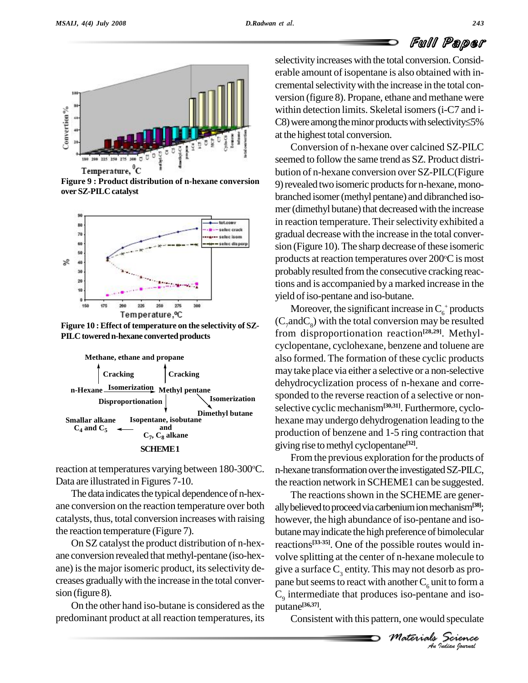# Full Paper



**Figure 9 : Product distribution of n-hexane conversion over SZ-PILC catalyst**



**Figure 10 :Effect of temperature on the selectivity of SZ-** PILC towered n-hexane converted products



reaction at temperatures varying between  $180-300$ °C. n-he Data are illustrated in Figures 7-10.

The data indicates the typical dependence of n-hexane conversion on the reaction temperature over both catalysts, thus, total conversion increases with raising the reaction temperature (Figure 7).

On SZ catalyst the product distribution of n-hex ane conversion revealed that methyl-pentane (iso-hexane) is the major isomeric product, its selectivity decreases graduallywith the increase in the total conver sion (figure 8).

On the other hand iso-butane is considered asthe predominant product at all reaction temperatures, its

selectivity increases with the total conversion. Considerable amount of isopentane is also obtained with in cremental selectivity with the increase in the total conversion (figure 8). Propane, ethane and methane were<br>within detection limits. Skeletal isomers (i-C7 and i-<br>C8) were among the minor products with selectivity≤5% within detection limits. Skeletal isomers (i-C7 and iat the highest total conversion.

Conversion of n-hexane over calcined SZ-PILC seemed to follow the same trend as SZ. Product distri bution of n-hexane conversion over SZ-PILC(Figure 9) revealed two isomeric products for n-hexane, monobranched isomer(methyl pentane) and dibranched iso mer (dimethyl butane) that decreased with the increase in reaction temperature. Their selectivity exhibited a gradual decrease with the increase in the total conver sion (Figure 10). The sharp decrease of these isomeric products at reaction temperatures over  $200^{\circ}$ C is most probably resulted fromthe consecutive cracking reactions and is accompanied by a marked increase in the yield of iso-pentane and iso-butane.

Moreover, the significant increase in  $C_6^+$  products  $(C_7 \text{and} C_8)$  with the total conversion may be resulted from disproportionation reaction **[28,29]**. Methyl cyclopentane, cyclohexane, benzene and toluene are also formed. The formation of these cyclic products maytake place via either a selective or a non-selective dehydrocyclization process of n-hexane and corre sponded to the reverse reaction of a selective or non selective cyclic mechanism<sup>[30,31]</sup>. Furthermore, cyclohexane may undergo dehydrogenation leading to the production of benzene and 1-5 ring contraction that giving rise tomethyl cyclopentane **[32]**.

From the previous exploration for the products of n-hexane transformation over the investigated SZ-PILC, the reaction network in SCHEME1 can be suggested.

another  $C_{6}$  unit to form a<br>
es iso-pentane and iso-<br> *Materials Science*<br> *Materials Science* give a surface  $C_3$  entity. This may not desorb as pro-The reactions shown in the SCHEME are generally believed to proceed via carbenium ion mechanism<sup>[38]</sup>; however, the high abundance of iso-pentane and iso butanemayindicate the high preference of bimolecular reactions **[33-35]**. One of the possible routes would in volve splitting at the center of n-hexane molecule to pane but seems to react with another  $C_6$  unit to form a  $C_9$  intermediate that produces iso-pentane and isoputane **[36,37]**.

Consistent with this pattern, one would speculate